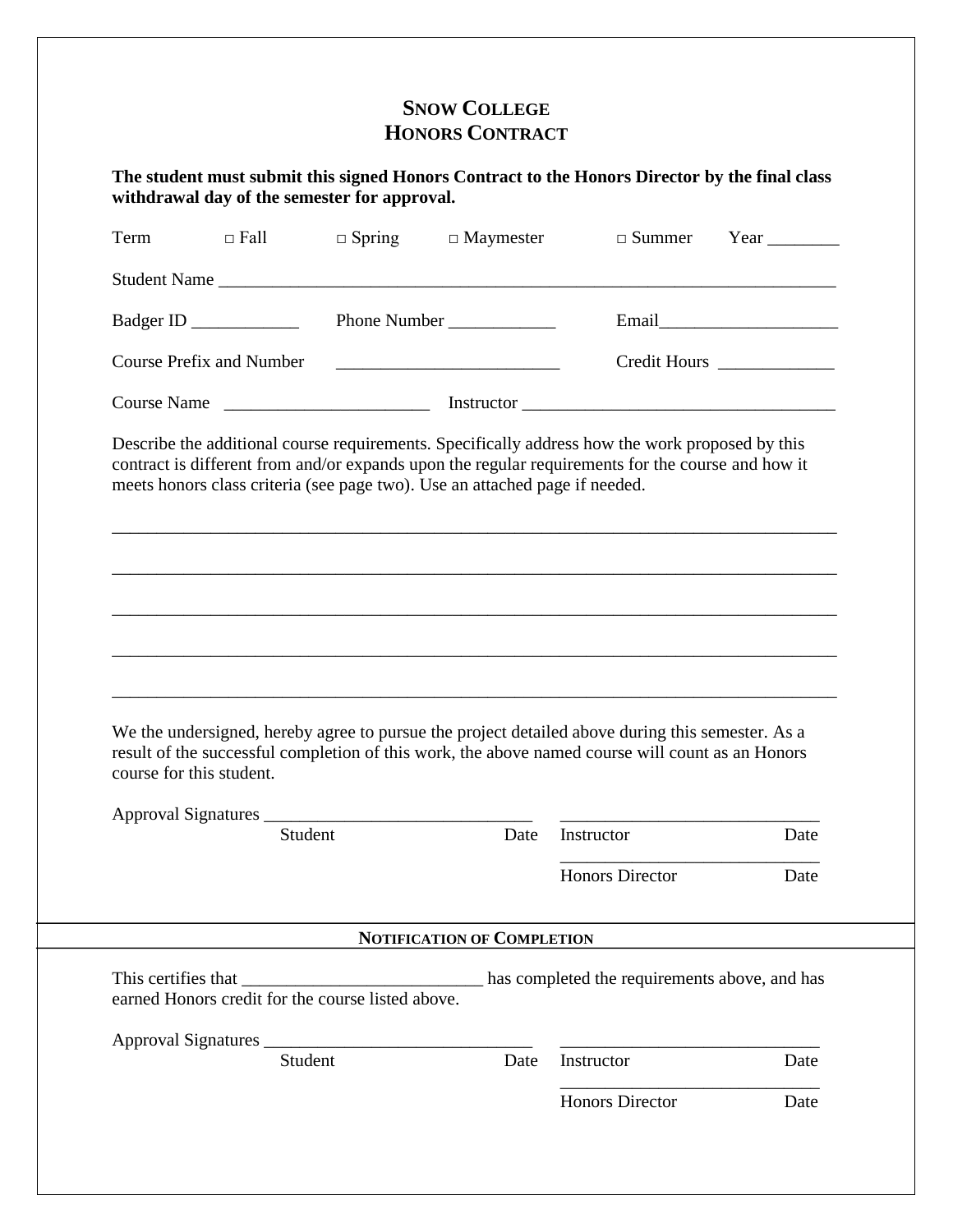## **SNOW COLLEGE HONORS CONTRACT**

**The student must submit this signed Honors Contract to the Honors Director by the final class withdrawal day of the semester for approval.**

| Term                     | $\Box$ Fall                     | $\Box$ Spring | $\Box$ Maymester                                                            | $\square$ Summer                                                                                                                                                                                     | Year $\qquad$ |
|--------------------------|---------------------------------|---------------|-----------------------------------------------------------------------------|------------------------------------------------------------------------------------------------------------------------------------------------------------------------------------------------------|---------------|
|                          |                                 |               |                                                                             | Student Name                                                                                                                                                                                         |               |
|                          |                                 |               | Phone Number                                                                |                                                                                                                                                                                                      |               |
|                          | <b>Course Prefix and Number</b> |               | <u> 1989 - Johann Barbara, martin amerikan basal da</u>                     |                                                                                                                                                                                                      | Credit Hours  |
|                          |                                 |               |                                                                             |                                                                                                                                                                                                      |               |
|                          |                                 |               | meets honors class criteria (see page two). Use an attached page if needed. | Describe the additional course requirements. Specifically address how the work proposed by this<br>contract is different from and/or expands upon the regular requirements for the course and how it |               |
|                          |                                 |               |                                                                             |                                                                                                                                                                                                      |               |
|                          |                                 |               |                                                                             | We the undersigned, hereby agree to pursue the project detailed above during this semester. As a<br>result of the successful completion of this work, the above named course will count as an Honors |               |
| course for this student. |                                 | Student       | Date                                                                        | Instructor                                                                                                                                                                                           | Date          |
|                          |                                 |               |                                                                             | <b>Honors Director</b>                                                                                                                                                                               | Date          |
|                          |                                 |               | <b>NOTIFICATION OF COMPLETION</b>                                           |                                                                                                                                                                                                      |               |
|                          |                                 |               |                                                                             |                                                                                                                                                                                                      |               |
|                          |                                 | Student       | Date                                                                        | Instructor                                                                                                                                                                                           | Date          |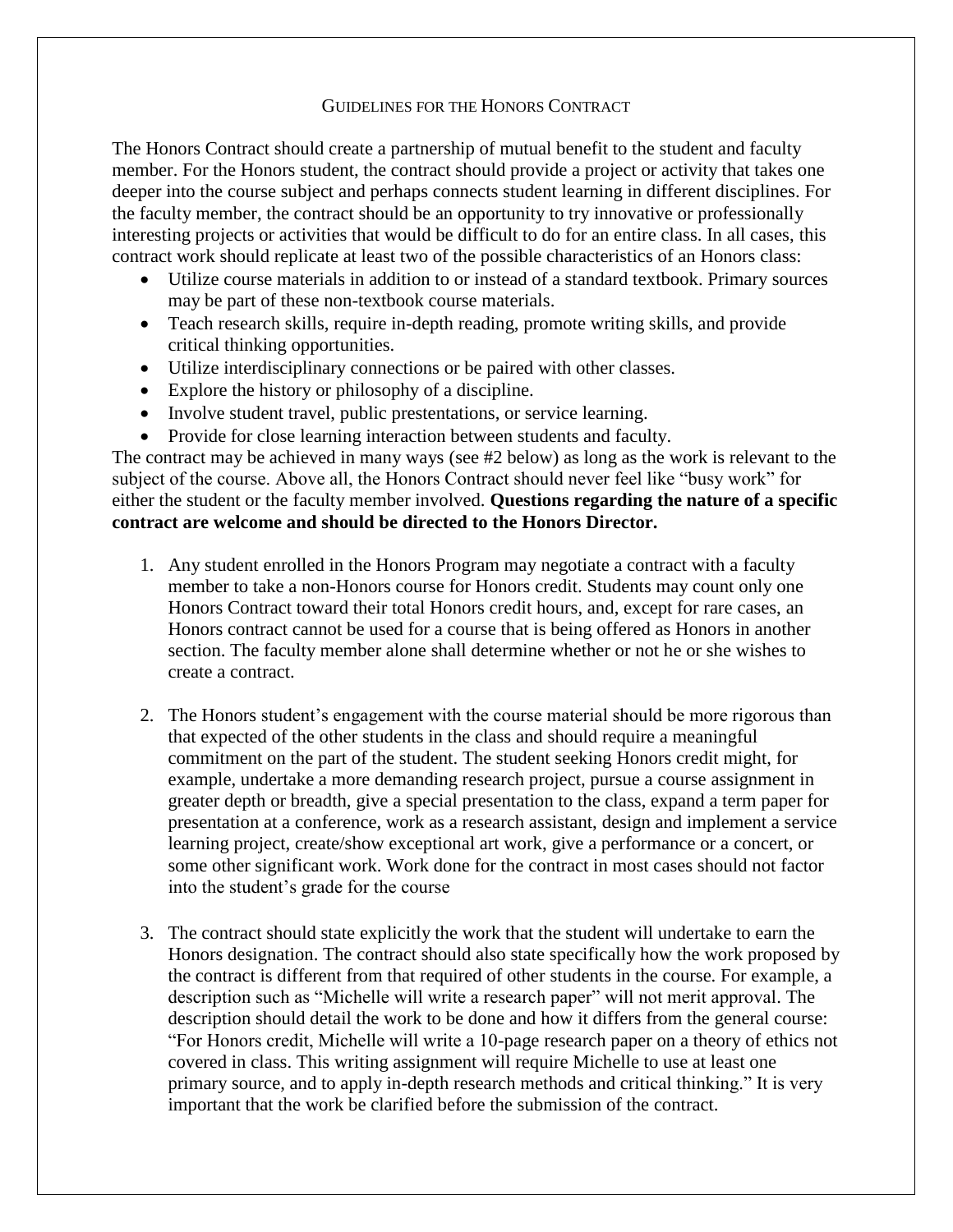## GUIDELINES FOR THE HONORS CONTRACT

The Honors Contract should create a partnership of mutual benefit to the student and faculty member. For the Honors student, the contract should provide a project or activity that takes one deeper into the course subject and perhaps connects student learning in different disciplines. For the faculty member, the contract should be an opportunity to try innovative or professionally interesting projects or activities that would be difficult to do for an entire class. In all cases, this contract work should replicate at least two of the possible characteristics of an Honors class:

- Utilize course materials in addition to or instead of a standard textbook. Primary sources may be part of these non-textbook course materials.
- Teach research skills, require in-depth reading, promote writing skills, and provide critical thinking opportunities.
- Utilize interdisciplinary connections or be paired with other classes.
- Explore the history or philosophy of a discipline.
- Involve student travel, public prestentations, or service learning.
- Provide for close learning interaction between students and faculty.

The contract may be achieved in many ways (see #2 below) as long as the work is relevant to the subject of the course. Above all, the Honors Contract should never feel like "busy work" for either the student or the faculty member involved. **Questions regarding the nature of a specific contract are welcome and should be directed to the Honors Director.**

- 1. Any student enrolled in the Honors Program may negotiate a contract with a faculty member to take a non-Honors course for Honors credit. Students may count only one Honors Contract toward their total Honors credit hours, and, except for rare cases, an Honors contract cannot be used for a course that is being offered as Honors in another section. The faculty member alone shall determine whether or not he or she wishes to create a contract.
- 2. The Honors student's engagement with the course material should be more rigorous than that expected of the other students in the class and should require a meaningful commitment on the part of the student. The student seeking Honors credit might, for example, undertake a more demanding research project, pursue a course assignment in greater depth or breadth, give a special presentation to the class, expand a term paper for presentation at a conference, work as a research assistant, design and implement a service learning project, create/show exceptional art work, give a performance or a concert, or some other significant work. Work done for the contract in most cases should not factor into the student's grade for the course
- 3. The contract should state explicitly the work that the student will undertake to earn the Honors designation. The contract should also state specifically how the work proposed by the contract is different from that required of other students in the course. For example, a description such as "Michelle will write a research paper" will not merit approval. The description should detail the work to be done and how it differs from the general course: "For Honors credit, Michelle will write a 10-page research paper on a theory of ethics not covered in class. This writing assignment will require Michelle to use at least one primary source, and to apply in-depth research methods and critical thinking." It is very important that the work be clarified before the submission of the contract.